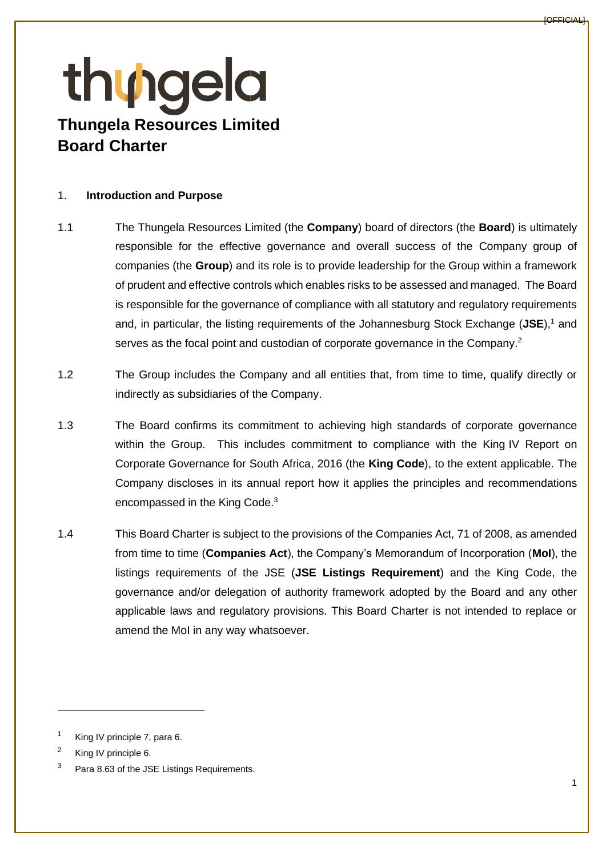#### 1. **Introduction and Purpose**

- 1.1 The Thungela Resources Limited (the **Company**) board of directors (the **Board**) is ultimately responsible for the effective governance and overall success of the Company group of companies (the **Group**) and its role is to provide leadership for the Group within a framework of prudent and effective controls which enables risks to be assessed and managed. The Board is responsible for the governance of compliance with all statutory and regulatory requirements and, in particular, the listing requirements of the Johannesburg Stock Exchange (**JSE**),<sup>1</sup> and serves as the focal point and custodian of corporate governance in the Company.<sup>2</sup>
- 1.2 The Group includes the Company and all entities that, from time to time, qualify directly or indirectly as subsidiaries of the Company.
- 1.3 The Board confirms its commitment to achieving high standards of corporate governance within the Group. This includes commitment to compliance with the King IV Report on Corporate Governance for South Africa, 2016 (the **King Code**), to the extent applicable. The Company discloses in its annual report how it applies the principles and recommendations encompassed in the King Code.<sup>3</sup>
- 1.4 This Board Charter is subject to the provisions of the Companies Act, 71 of 2008, as amended from time to time (**Companies Act**), the Company's Memorandum of Incorporation (**MoI**), the listings requirements of the JSE (**JSE Listings Requirement**) and the King Code, the governance and/or delegation of authority framework adopted by the Board and any other applicable laws and regulatory provisions. This Board Charter is not intended to replace or amend the MoI in any way whatsoever.

<sup>&</sup>lt;sup>1</sup> King IV principle 7, para 6.

<sup>2</sup> King IV principle 6.

<sup>&</sup>lt;sup>3</sup> Para 8.63 of the JSE Listings Requirements.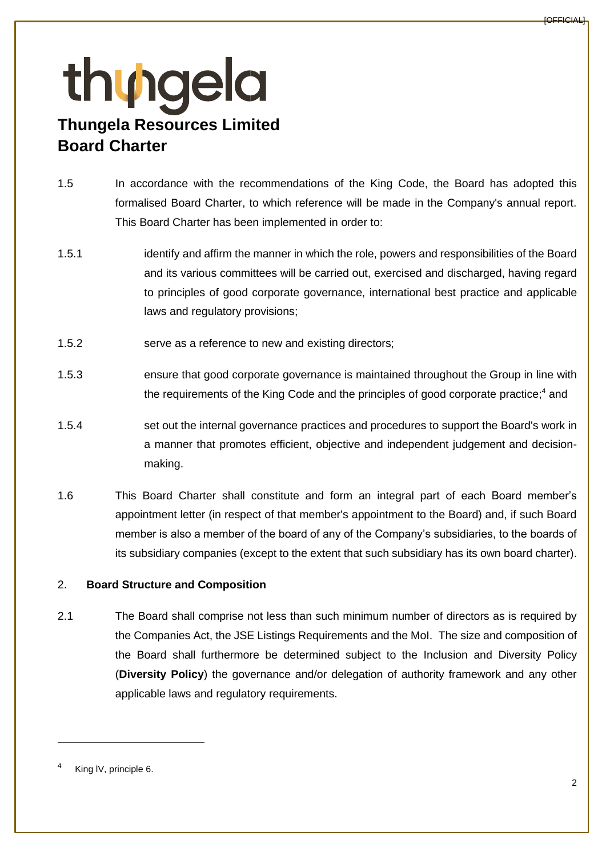- 1.5 In accordance with the recommendations of the King Code, the Board has adopted this formalised Board Charter, to which reference will be made in the Company's annual report. This Board Charter has been implemented in order to:
- 1.5.1 identify and affirm the manner in which the role, powers and responsibilities of the Board and its various committees will be carried out, exercised and discharged, having regard to principles of good corporate governance, international best practice and applicable laws and regulatory provisions;
- 1.5.2 serve as a reference to new and existing directors;
- 1.5.3 ensure that good corporate governance is maintained throughout the Group in line with the requirements of the King Code and the principles of good corporate practice;<sup>4</sup> and
- 1.5.4 set out the internal governance practices and procedures to support the Board's work in a manner that promotes efficient, objective and independent judgement and decisionmaking.
- 1.6 This Board Charter shall constitute and form an integral part of each Board member's appointment letter (in respect of that member's appointment to the Board) and, if such Board member is also a member of the board of any of the Company's subsidiaries, to the boards of its subsidiary companies (except to the extent that such subsidiary has its own board charter).

### 2. **Board Structure and Composition**

2.1 The Board shall comprise not less than such minimum number of directors as is required by the Companies Act, the JSE Listings Requirements and the MoI. The size and composition of the Board shall furthermore be determined subject to the Inclusion and Diversity Policy (**Diversity Policy**) the governance and/or delegation of authority framework and any other applicable laws and regulatory requirements.

King IV, principle 6.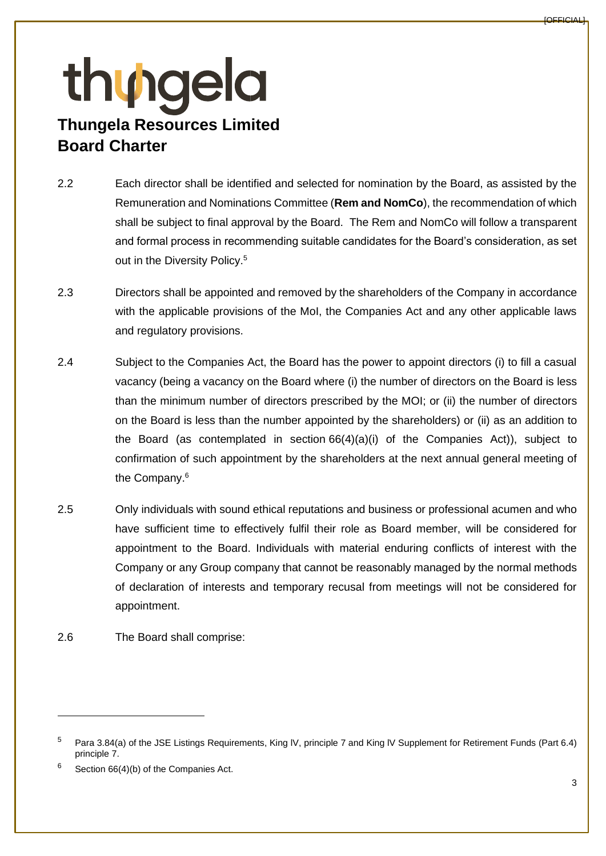- 2.2 Each director shall be identified and selected for nomination by the Board, as assisted by the Remuneration and Nominations Committee (**Rem and NomCo**), the recommendation of which shall be subject to final approval by the Board. The Rem and NomCo will follow a transparent and formal process in recommending suitable candidates for the Board's consideration, as set out in the Diversity Policy.<sup>5</sup>
- 2.3 Directors shall be appointed and removed by the shareholders of the Company in accordance with the applicable provisions of the MoI, the Companies Act and any other applicable laws and regulatory provisions.
- 2.4 Subject to the Companies Act, the Board has the power to appoint directors (i) to fill a casual vacancy (being a vacancy on the Board where (i) the number of directors on the Board is less than the minimum number of directors prescribed by the MOI; or (ii) the number of directors on the Board is less than the number appointed by the shareholders) or (ii) as an addition to the Board (as contemplated in section  $66(4)(a)(i)$  of the Companies Act)), subject to confirmation of such appointment by the shareholders at the next annual general meeting of the Company.<sup>6</sup>
- 2.5 Only individuals with sound ethical reputations and business or professional acumen and who have sufficient time to effectively fulfil their role as Board member, will be considered for appointment to the Board. Individuals with material enduring conflicts of interest with the Company or any Group company that cannot be reasonably managed by the normal methods of declaration of interests and temporary recusal from meetings will not be considered for appointment.
- <span id="page-2-0"></span>2.6 The Board shall comprise:

<sup>5</sup> Para 3.84(a) of the JSE Listings Requirements, King lV, principle 7 and King lV Supplement for Retirement Funds (Part 6.4) principle 7.

 $6$  Section 66(4)(b) of the Companies Act.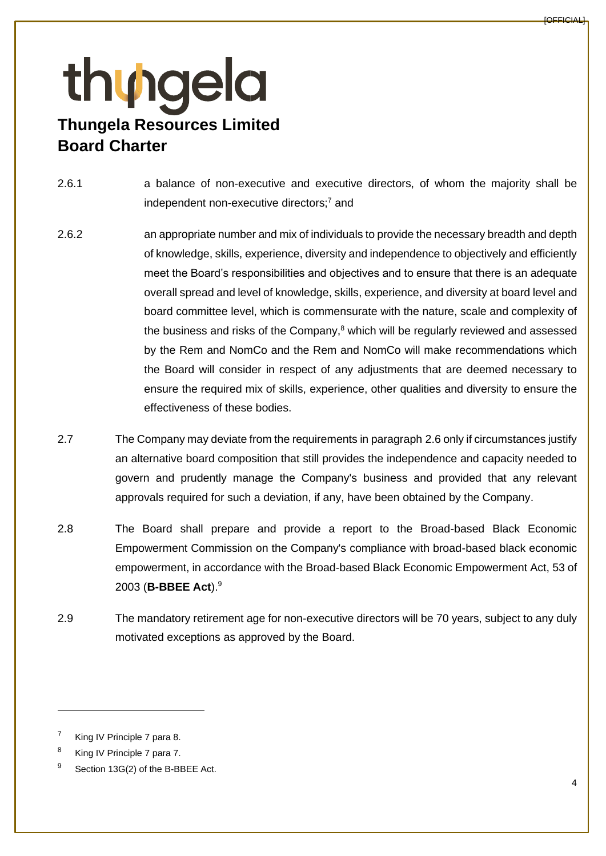- 2.6.1 a balance of non-executive and executive directors, of whom the majority shall be independent non-executive directors;<sup>7</sup> and
- 2.6.2 an appropriate number and mix of individuals to provide the necessary breadth and depth of knowledge, skills, experience, diversity and independence to objectively and efficiently meet the Board's responsibilities and objectives and to ensure that there is an adequate overall spread and level of knowledge, skills, experience, and diversity at board level and board committee level, which is commensurate with the nature, scale and complexity of the business and risks of the Company, $8$  which will be regularly reviewed and assessed by the Rem and NomCo and the Rem and NomCo will make recommendations which the Board will consider in respect of any adjustments that are deemed necessary to ensure the required mix of skills, experience, other qualities and diversity to ensure the effectiveness of these bodies.
- 2.7 The Company may deviate from the requirements in paragraph [2.6](#page-2-0) only if circumstances justify an alternative board composition that still provides the independence and capacity needed to govern and prudently manage the Company's business and provided that any relevant approvals required for such a deviation, if any, have been obtained by the Company.
- 2.8 The Board shall prepare and provide a report to the Broad-based Black Economic Empowerment Commission on the Company's compliance with broad-based black economic empowerment, in accordance with the Broad-based Black Economic Empowerment Act, 53 of 2003 (**B-BBEE Act**).<sup>9</sup>
- 2.9 The mandatory retirement age for non-executive directors will be 70 years, subject to any duly motivated exceptions as approved by the Board.

King IV Principle 7 para 8.

<sup>8</sup> King IV Principle 7 para 7.

<sup>&</sup>lt;sup>9</sup> Section 13G(2) of the B-BBEE Act.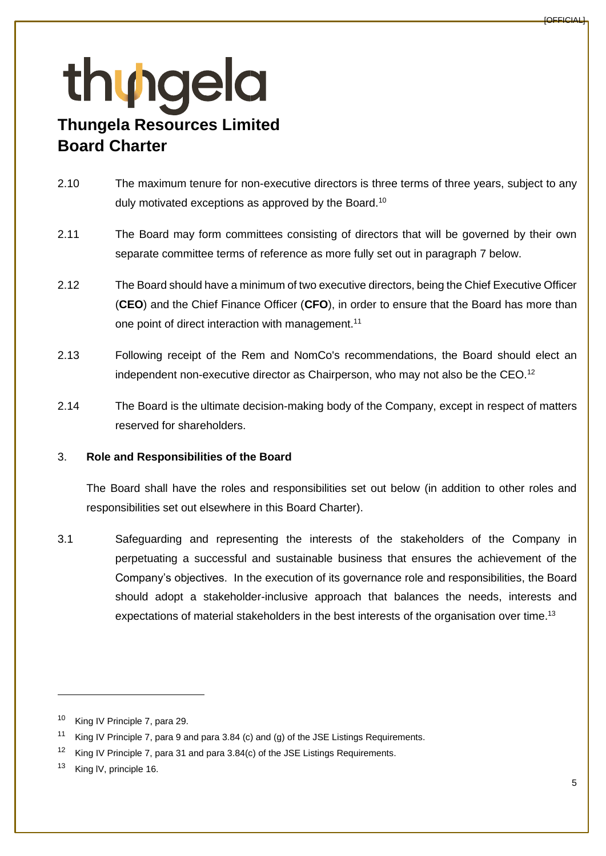- 2.10 The maximum tenure for non-executive directors is three terms of three years, subject to any duly motivated exceptions as approved by the Board.<sup>10</sup>
- 2.11 The Board may form committees consisting of directors that will be governed by their own separate committee terms of reference as more fully set out in paragraph [7](#page-19-0) below.
- 2.12 The Board should have a minimum of two executive directors, being the Chief Executive Officer (**CEO**) and the Chief Finance Officer (**CFO**), in order to ensure that the Board has more than one point of direct interaction with management.<sup>11</sup>
- 2.13 Following receipt of the Rem and NomCo's recommendations, the Board should elect an independent non-executive director as Chairperson, who may not also be the CEO.<sup>12</sup>
- 2.14 The Board is the ultimate decision-making body of the Company, except in respect of matters reserved for shareholders.

### 3. **Role and Responsibilities of the Board**

The Board shall have the roles and responsibilities set out below (in addition to other roles and responsibilities set out elsewhere in this Board Charter).

3.1 Safeguarding and representing the interests of the stakeholders of the Company in perpetuating a successful and sustainable business that ensures the achievement of the Company's objectives. In the execution of its governance role and responsibilities, the Board should adopt a stakeholder-inclusive approach that balances the needs, interests and expectations of material stakeholders in the best interests of the organisation over time.<sup>13</sup>

<sup>10</sup> King IV Principle 7, para 29.

<sup>&</sup>lt;sup>11</sup> King IV Principle 7, para 9 and para 3.84 (c) and (g) of the JSE Listings Requirements.

<sup>&</sup>lt;sup>12</sup> King IV Principle 7, para 31 and para 3.84(c) of the JSE Listings Requirements.

<sup>&</sup>lt;sup>13</sup> King IV, principle 16.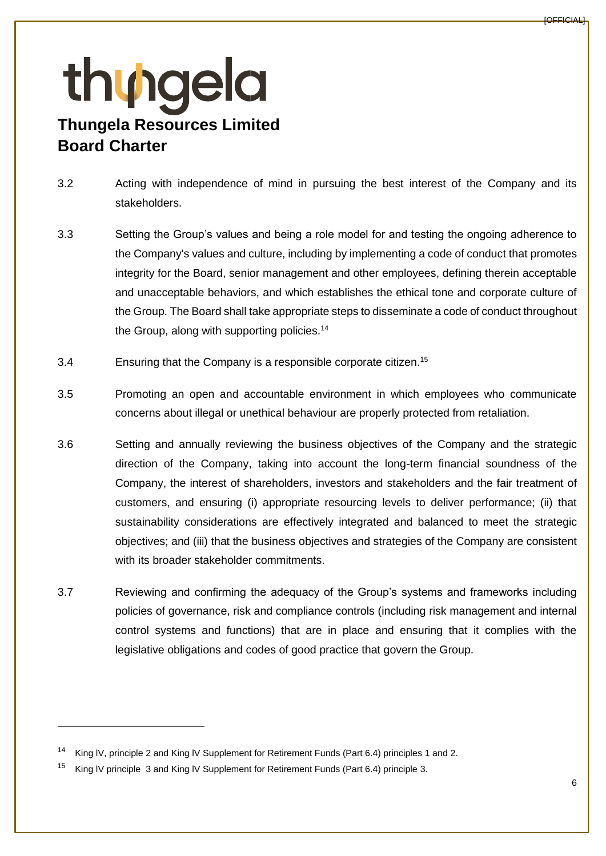- 3.2 Acting with independence of mind in pursuing the best interest of the Company and its stakeholders.
- 3.3 Setting the Group's values and being a role model for and testing the ongoing adherence to the Company's values and culture, including by implementing a code of conduct that promotes integrity for the Board, senior management and other employees, defining therein acceptable and unacceptable behaviors, and which establishes the ethical tone and corporate culture of the Group. The Board shall take appropriate steps to disseminate a code of conduct throughout the Group, along with supporting policies.<sup>14</sup>
- 3.4 Ensuring that the Company is a responsible corporate citizen.<sup>15</sup>
- 3.5 Promoting an open and accountable environment in which employees who communicate concerns about illegal or unethical behaviour are properly protected from retaliation.
- 3.6 Setting and annually reviewing the business objectives of the Company and the strategic direction of the Company, taking into account the long-term financial soundness of the Company, the interest of shareholders, investors and stakeholders and the fair treatment of customers, and ensuring (i) appropriate resourcing levels to deliver performance; (ii) that sustainability considerations are effectively integrated and balanced to meet the strategic objectives; and (iii) that the business objectives and strategies of the Company are consistent with its broader stakeholder commitments.
- 3.7 Reviewing and confirming the adequacy of the Group's systems and frameworks including policies of governance, risk and compliance controls (including risk management and internal control systems and functions) that are in place and ensuring that it complies with the legislative obligations and codes of good practice that govern the Group.

<sup>14</sup> King lV, principle 2 and King lV Supplement for Retirement Funds (Part 6.4) principles 1 and 2.

<sup>&</sup>lt;sup>15</sup> King IV principle 3 and King IV Supplement for Retirement Funds (Part 6.4) principle 3.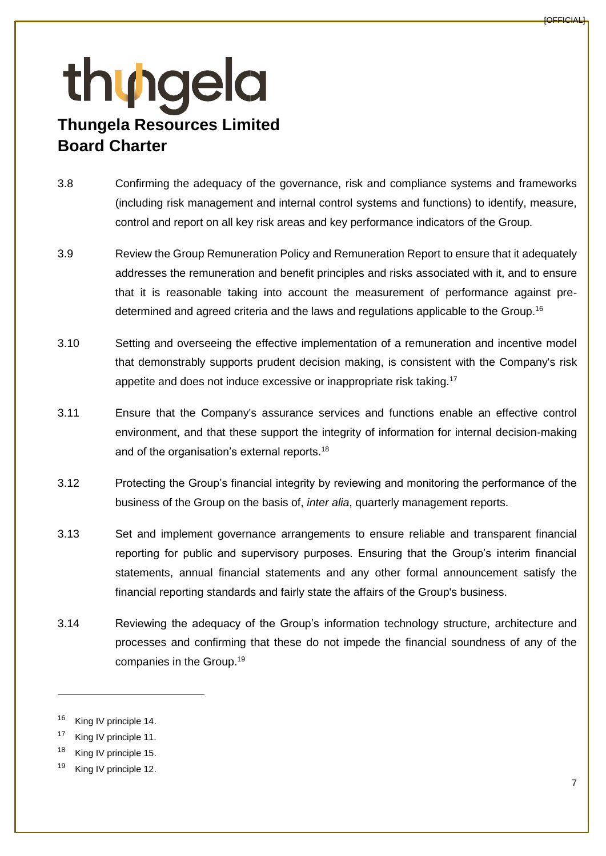- 3.8 Confirming the adequacy of the governance, risk and compliance systems and frameworks (including risk management and internal control systems and functions) to identify, measure, control and report on all key risk areas and key performance indicators of the Group.
- 3.9 Review the Group Remuneration Policy and Remuneration Report to ensure that it adequately addresses the remuneration and benefit principles and risks associated with it, and to ensure that it is reasonable taking into account the measurement of performance against predetermined and agreed criteria and the laws and regulations applicable to the Group.<sup>16</sup>
- 3.10 Setting and overseeing the effective implementation of a remuneration and incentive model that demonstrably supports prudent decision making, is consistent with the Company's risk appetite and does not induce excessive or inappropriate risk taking.<sup>17</sup>
- 3.11 Ensure that the Company's assurance services and functions enable an effective control environment, and that these support the integrity of information for internal decision-making and of the organisation's external reports.<sup>18</sup>
- 3.12 Protecting the Group's financial integrity by reviewing and monitoring the performance of the business of the Group on the basis of, *inter alia*, quarterly management reports.
- 3.13 Set and implement governance arrangements to ensure reliable and transparent financial reporting for public and supervisory purposes. Ensuring that the Group's interim financial statements, annual financial statements and any other formal announcement satisfy the financial reporting standards and fairly state the affairs of the Group's business.
- 3.14 Reviewing the adequacy of the Group's information technology structure, architecture and processes and confirming that these do not impede the financial soundness of any of the companies in the Group.<sup>19</sup>

<sup>&</sup>lt;sup>16</sup> King IV principle 14.

<sup>&</sup>lt;sup>17</sup> King IV principle 11.

<sup>&</sup>lt;sup>18</sup> King IV principle 15.

<sup>&</sup>lt;sup>19</sup> King IV principle 12.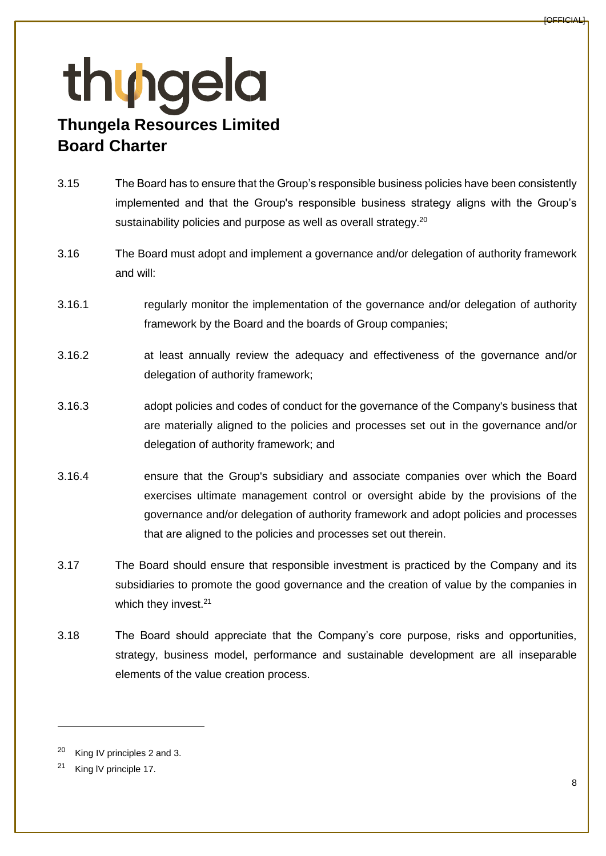- 3.15 The Board has to ensure that the Group's responsible business policies have been consistently implemented and that the Group's responsible business strategy aligns with the Group's sustainability policies and purpose as well as overall strategy.<sup>20</sup>
- 3.16 The Board must adopt and implement a governance and/or delegation of authority framework and will:
- 3.16.1 regularly monitor the implementation of the governance and/or delegation of authority framework by the Board and the boards of Group companies;
- 3.16.2 at least annually review the adequacy and effectiveness of the governance and/or delegation of authority framework;
- 3.16.3 adopt policies and codes of conduct for the governance of the Company's business that are materially aligned to the policies and processes set out in the governance and/or delegation of authority framework; and
- 3.16.4 ensure that the Group's subsidiary and associate companies over which the Board exercises ultimate management control or oversight abide by the provisions of the governance and/or delegation of authority framework and adopt policies and processes that are aligned to the policies and processes set out therein.
- 3.17 The Board should ensure that responsible investment is practiced by the Company and its subsidiaries to promote the good governance and the creation of value by the companies in which they invest.<sup>21</sup>
- 3.18 The Board should appreciate that the Company's core purpose, risks and opportunities, strategy, business model, performance and sustainable development are all inseparable elements of the value creation process.

King IV principles 2 and 3.

<sup>&</sup>lt;sup>21</sup> King IV principle 17.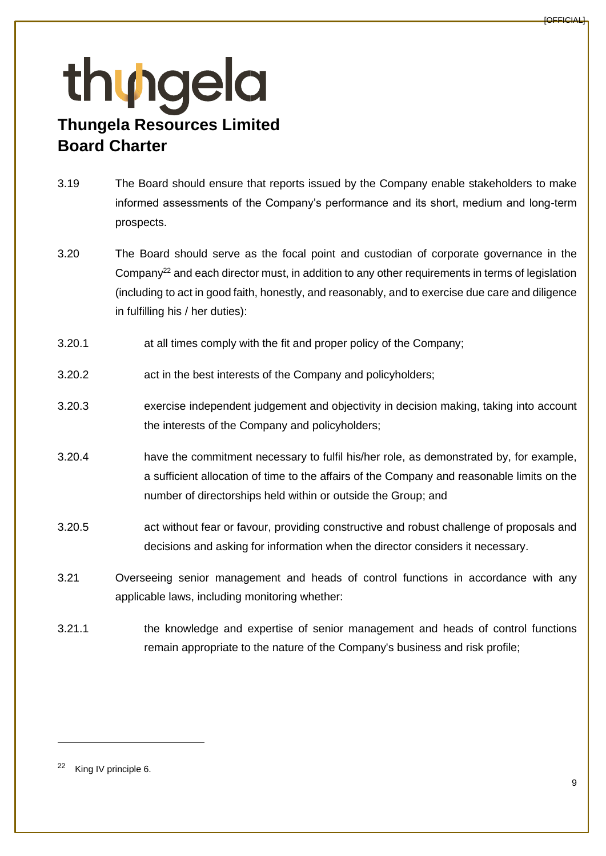- 3.19 The Board should ensure that reports issued by the Company enable stakeholders to make informed assessments of the Company's performance and its short, medium and long-term prospects.
- 3.20 The Board should serve as the focal point and custodian of corporate governance in the Company<sup>22</sup> and each director must, in addition to any other requirements in terms of legislation (including to act in good faith, honestly, and reasonably, and to exercise due care and diligence in fulfilling his / her duties):
- 3.20.1 at all times comply with the fit and proper policy of the Company;
- 3.20.2 act in the best interests of the Company and policyholders;
- 3.20.3 exercise independent judgement and objectivity in decision making, taking into account the interests of the Company and policyholders;
- 3.20.4 have the commitment necessary to fulfil his/her role, as demonstrated by, for example, a sufficient allocation of time to the affairs of the Company and reasonable limits on the number of directorships held within or outside the Group; and
- 3.20.5 act without fear or favour, providing constructive and robust challenge of proposals and decisions and asking for information when the director considers it necessary.
- 3.21 Overseeing senior management and heads of control functions in accordance with any applicable laws, including monitoring whether:
- 3.21.1 the knowledge and expertise of senior management and heads of control functions remain appropriate to the nature of the Company's business and risk profile;

<sup>22</sup> King IV principle 6.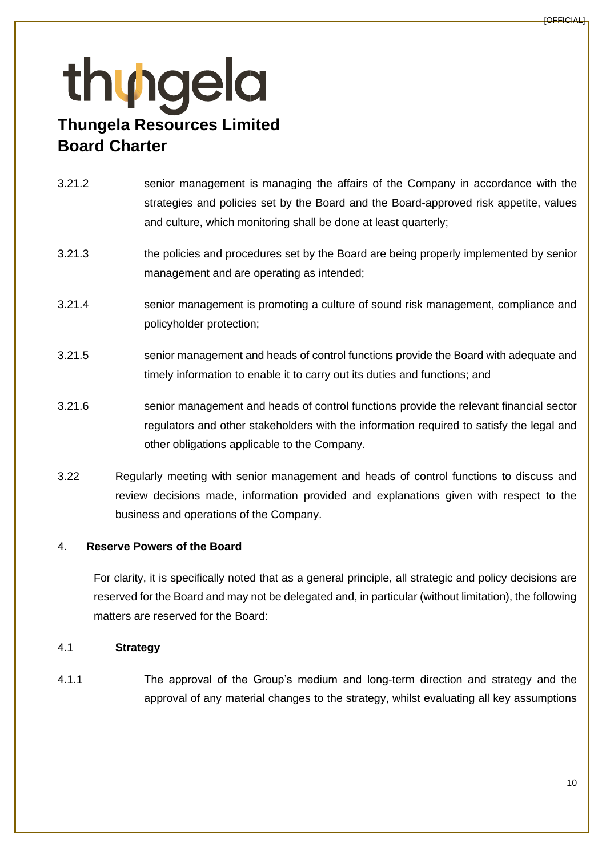### 3.21.2 senior management is managing the affairs of the Company in accordance with the strategies and policies set by the Board and the Board-approved risk appetite, values and culture, which monitoring shall be done at least quarterly;

- 3.21.3 the policies and procedures set by the Board are being properly implemented by senior management and are operating as intended;
- 3.21.4 senior management is promoting a culture of sound risk management, compliance and policyholder protection;
- 3.21.5 senior management and heads of control functions provide the Board with adequate and timely information to enable it to carry out its duties and functions; and
- 3.21.6 senior management and heads of control functions provide the relevant financial sector regulators and other stakeholders with the information required to satisfy the legal and other obligations applicable to the Company.
- 3.22 Regularly meeting with senior management and heads of control functions to discuss and review decisions made, information provided and explanations given with respect to the business and operations of the Company.

### 4. **Reserve Powers of the Board**

For clarity, it is specifically noted that as a general principle, all strategic and policy decisions are reserved for the Board and may not be delegated and, in particular (without limitation), the following matters are reserved for the Board:

### 4.1 **Strategy**

4.1.1 The approval of the Group's medium and long-term direction and strategy and the approval of any material changes to the strategy, whilst evaluating all key assumptions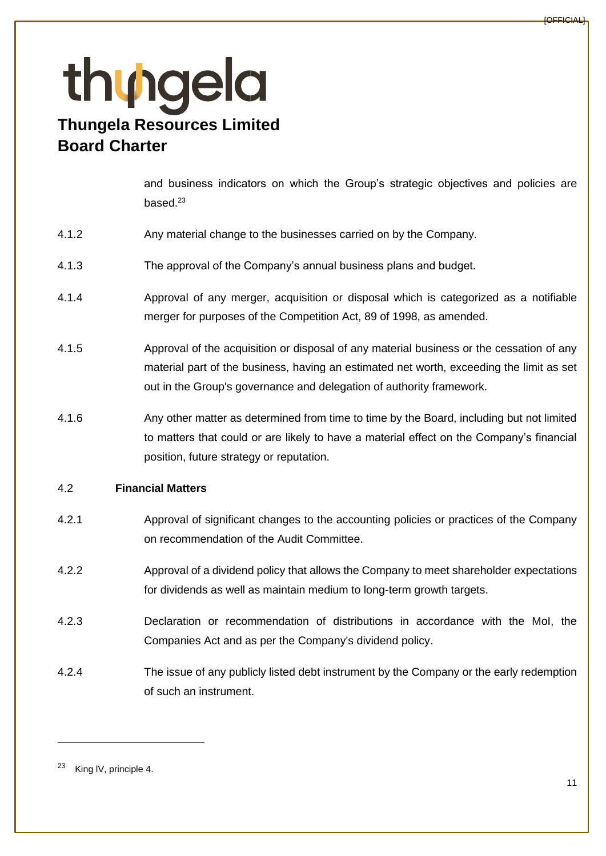and business indicators on which the Group's strategic objectives and policies are based. $23$ 

- 4.1.2 Any material change to the businesses carried on by the Company.
- 4.1.3 The approval of the Company's annual business plans and budget.
- 4.1.4 Approval of any merger, acquisition or disposal which is categorized as a notifiable merger for purposes of the Competition Act, 89 of 1998, as amended.
- 4.1.5 Approval of the acquisition or disposal of any material business or the cessation of any material part of the business, having an estimated net worth, exceeding the limit as set out in the Group's governance and delegation of authority framework.
- 4.1.6 Any other matter as determined from time to time by the Board, including but not limited to matters that could or are likely to have a material effect on the Company's financial position, future strategy or reputation.

### 4.2 **Financial Matters**

- 4.2.1 Approval of significant changes to the accounting policies or practices of the Company on recommendation of the Audit Committee.
- 4.2.2 Approval of a dividend policy that allows the Company to meet shareholder expectations for dividends as well as maintain medium to long-term growth targets.
- 4.2.3 Declaration or recommendation of distributions in accordance with the MoI, the Companies Act and as per the Company's dividend policy.
- 4.2.4 The issue of any publicly listed debt instrument by the Company or the early redemption of such an instrument.

<sup>23</sup> King lV, principle 4.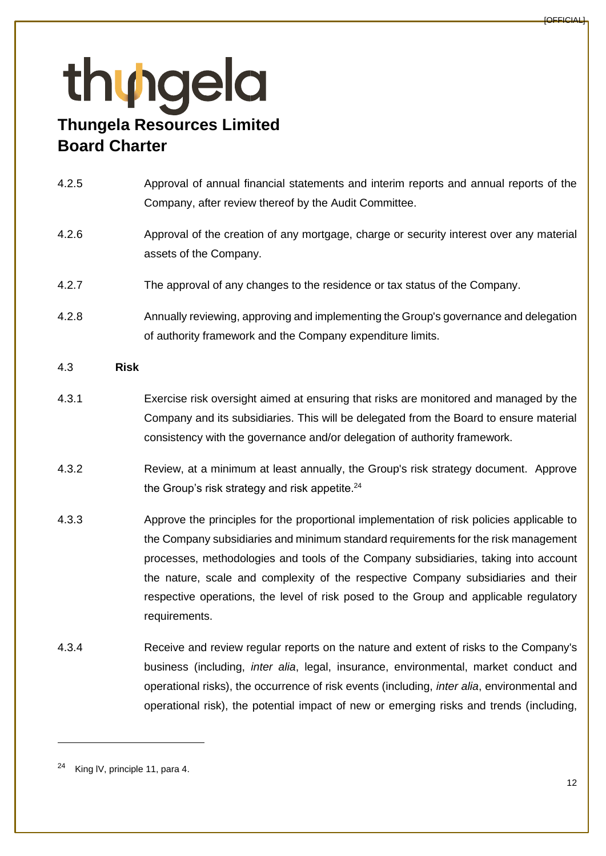# thungela **Thungela Resources Limited**

### **Board Charter**

- 4.2.5 Approval of annual financial statements and interim reports and annual reports of the Company, after review thereof by the Audit Committee.
- 4.2.6 Approval of the creation of any mortgage, charge or security interest over any material assets of the Company.
- 4.2.7 The approval of any changes to the residence or tax status of the Company.
- 4.2.8 Annually reviewing, approving and implementing the Group's governance and delegation of authority framework and the Company expenditure limits.

### 4.3 **Risk**

- 4.3.1 Exercise risk oversight aimed at ensuring that risks are monitored and managed by the Company and its subsidiaries. This will be delegated from the Board to ensure material consistency with the governance and/or delegation of authority framework.
- 4.3.2 Review, at a minimum at least annually, the Group's risk strategy document. Approve the Group's risk strategy and risk appetite. 24
- 4.3.3 Approve the principles for the proportional implementation of risk policies applicable to the Company subsidiaries and minimum standard requirements for the risk management processes, methodologies and tools of the Company subsidiaries, taking into account the nature, scale and complexity of the respective Company subsidiaries and their respective operations, the level of risk posed to the Group and applicable regulatory requirements.
- 4.3.4 Receive and review regular reports on the nature and extent of risks to the Company's business (including, *inter alia*, legal, insurance, environmental, market conduct and operational risks), the occurrence of risk events (including, *inter alia*, environmental and operational risk), the potential impact of new or emerging risks and trends (including,

<sup>&</sup>lt;sup>24</sup> King IV, principle 11, para 4.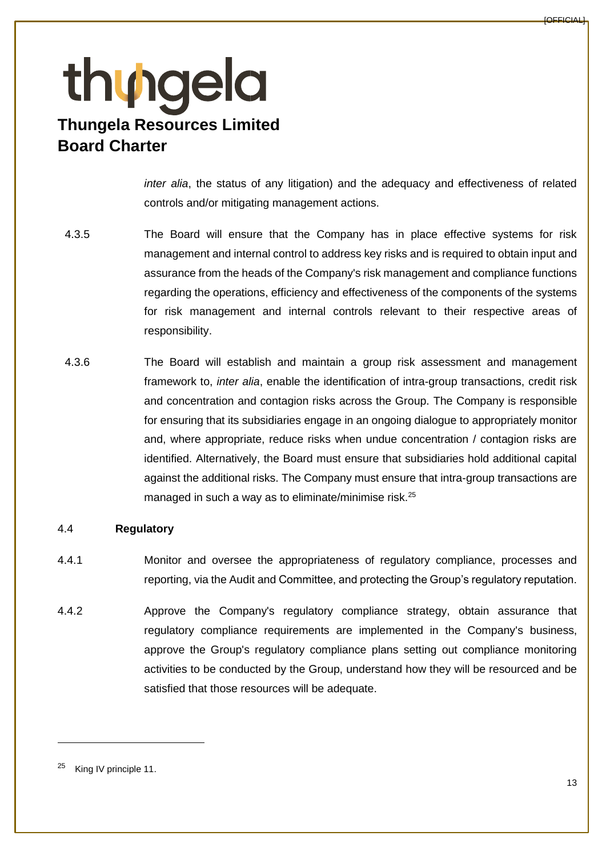*inter alia*, the status of any litigation) and the adequacy and effectiveness of related controls and/or mitigating management actions.

- 4.3.5 The Board will ensure that the Company has in place effective systems for risk management and internal control to address key risks and is required to obtain input and assurance from the heads of the Company's risk management and compliance functions regarding the operations, efficiency and effectiveness of the components of the systems for risk management and internal controls relevant to their respective areas of responsibility.
- 4.3.6 The Board will establish and maintain a group risk assessment and management framework to, *inter alia*, enable the identification of intra-group transactions, credit risk and concentration and contagion risks across the Group. The Company is responsible for ensuring that its subsidiaries engage in an ongoing dialogue to appropriately monitor and, where appropriate, reduce risks when undue concentration / contagion risks are identified. Alternatively, the Board must ensure that subsidiaries hold additional capital against the additional risks. The Company must ensure that intra-group transactions are managed in such a way as to eliminate/minimise risk.<sup>25</sup>

### 4.4 **Regulatory**

- 4.4.1 Monitor and oversee the appropriateness of regulatory compliance, processes and reporting, via the Audit and Committee, and protecting the Group's regulatory reputation.
- 4.4.2 Approve the Company's regulatory compliance strategy, obtain assurance that regulatory compliance requirements are implemented in the Company's business, approve the Group's regulatory compliance plans setting out compliance monitoring activities to be conducted by the Group, understand how they will be resourced and be satisfied that those resources will be adequate.

<sup>&</sup>lt;sup>25</sup> King IV principle 11.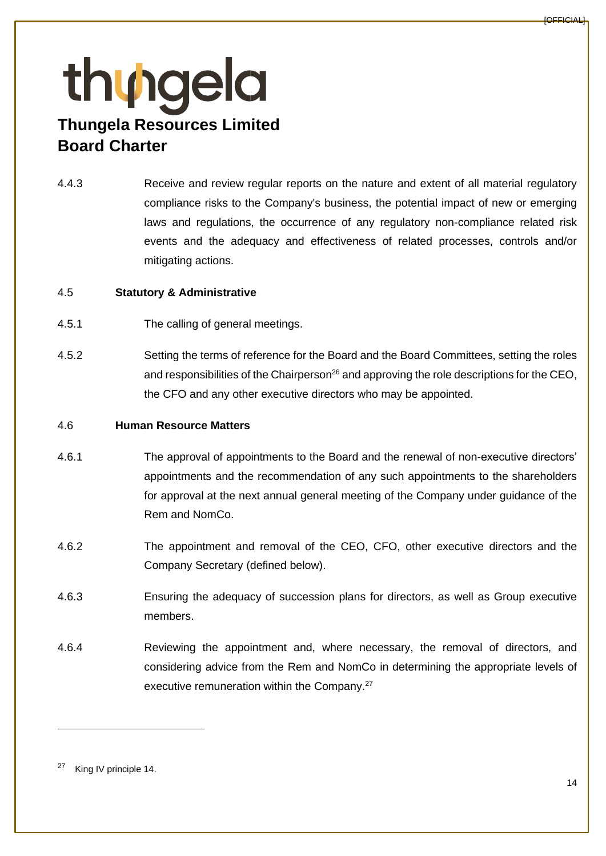4.4.3 Receive and review regular reports on the nature and extent of all material regulatory compliance risks to the Company's business, the potential impact of new or emerging laws and regulations, the occurrence of any regulatory non-compliance related risk events and the adequacy and effectiveness of related processes, controls and/or mitigating actions.

#### 4.5 **Statutory & Administrative**

- 4.5.1 The calling of general meetings.
- 4.5.2 Setting the terms of reference for the Board and the Board Committees, setting the roles and responsibilities of the Chairperson<sup>26</sup> and approving the role descriptions for the CEO, the CFO and any other executive directors who may be appointed.

#### 4.6 **Human Resource Matters**

- 4.6.1 The approval of appointments to the Board and the renewal of non-executive directors' appointments and the recommendation of any such appointments to the shareholders for approval at the next annual general meeting of the Company under guidance of the Rem and NomCo.
- 4.6.2 The appointment and removal of the CEO, CFO, other executive directors and the Company Secretary (defined below).
- 4.6.3 Ensuring the adequacy of succession plans for directors, as well as Group executive members.
- 4.6.4 Reviewing the appointment and, where necessary, the removal of directors, and considering advice from the Rem and NomCo in determining the appropriate levels of executive remuneration within the Company.<sup>27</sup>

<sup>27</sup> King IV principle 14.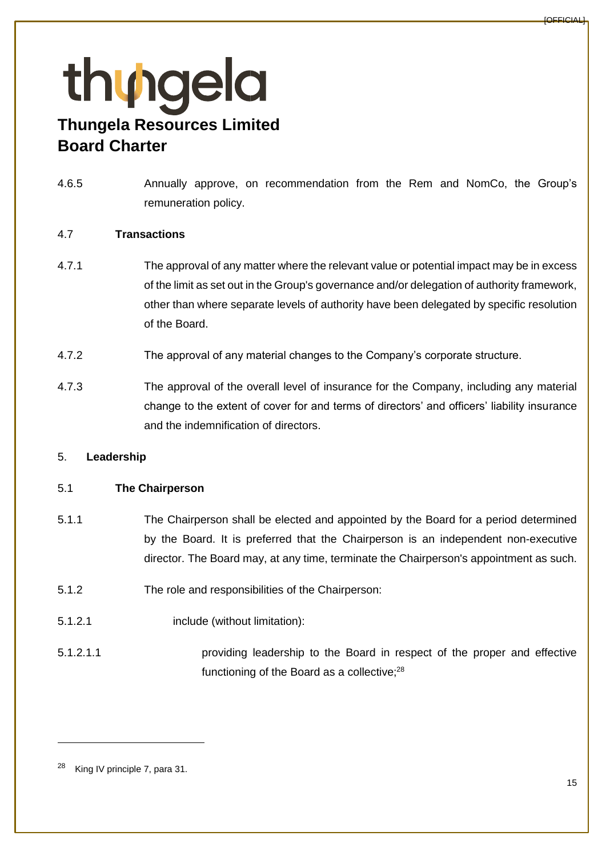4.6.5 Annually approve, on recommendation from the Rem and NomCo, the Group's remuneration policy.

### 4.7 **Transactions**

- 4.7.1 The approval of any matter where the relevant value or potential impact may be in excess of the limit as set out in the Group's governance and/or delegation of authority framework, other than where separate levels of authority have been delegated by specific resolution of the Board.
- 4.7.2 The approval of any material changes to the Company's corporate structure.
- 4.7.3 The approval of the overall level of insurance for the Company, including any material change to the extent of cover for and terms of directors' and officers' liability insurance and the indemnification of directors.

### 5. **Leadership**

### 5.1 **The Chairperson**

- 5.1.1 The Chairperson shall be elected and appointed by the Board for a period determined by the Board. It is preferred that the Chairperson is an independent non-executive director. The Board may, at any time, terminate the Chairperson's appointment as such.
- 5.1.2 The role and responsibilities of the Chairperson:
- 5.1.2.1 include (without limitation):
- 5.1.2.1.1 providing leadership to the Board in respect of the proper and effective functioning of the Board as a collective; $28$

<sup>&</sup>lt;sup>28</sup> King IV principle 7, para 31.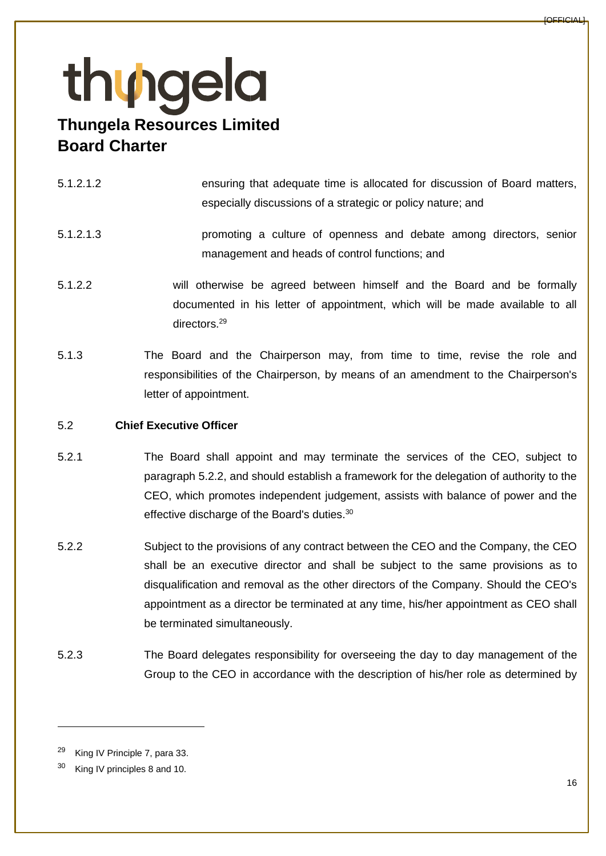- 5.1.2.1.2 ensuring that adequate time is allocated for discussion of Board matters, especially discussions of a strategic or policy nature; and
- 5.1.2.1.3 promoting a culture of openness and debate among directors, senior management and heads of control functions; and
- 5.1.2.2 will otherwise be agreed between himself and the Board and be formally documented in his letter of appointment, which will be made available to all directors.<sup>29</sup>
- 5.1.3 The Board and the Chairperson may, from time to time, revise the role and responsibilities of the Chairperson, by means of an amendment to the Chairperson's letter of appointment.

### 5.2 **Chief Executive Officer**

- 5.2.1 The Board shall appoint and may terminate the services of the CEO, subject to paragraph [5.2.2,](#page-15-0) and should establish a framework for the delegation of authority to the CEO, which promotes independent judgement, assists with balance of power and the effective discharge of the Board's duties.<sup>30</sup>
- <span id="page-15-0"></span>5.2.2 Subject to the provisions of any contract between the CEO and the Company, the CEO shall be an executive director and shall be subject to the same provisions as to disqualification and removal as the other directors of the Company. Should the CEO's appointment as a director be terminated at any time, his/her appointment as CEO shall be terminated simultaneously.
- 5.2.3 The Board delegates responsibility for overseeing the day to day management of the Group to the CEO in accordance with the description of his/her role as determined by

<sup>29</sup> King IV Principle 7, para 33.

King IV principles 8 and 10.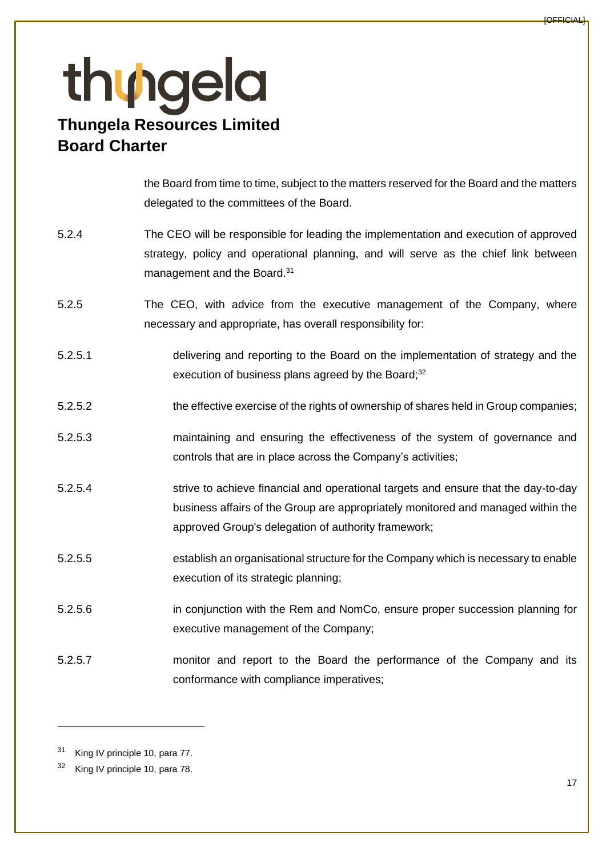the Board from time to time, subject to the matters reserved for the Board and the matters delegated to the committees of the Board.

- 5.2.4 The CEO will be responsible for leading the implementation and execution of approved strategy, policy and operational planning, and will serve as the chief link between management and the Board.<sup>31</sup>
- 5.2.5 The CEO, with advice from the executive management of the Company, where necessary and appropriate, has overall responsibility for:
- 5.2.5.1 delivering and reporting to the Board on the implementation of strategy and the execution of business plans agreed by the Board;<sup>32</sup>
- 5.2.5.2 the effective exercise of the rights of ownership of shares held in Group companies;
- 5.2.5.3 maintaining and ensuring the effectiveness of the system of governance and controls that are in place across the Company's activities;
- 5.2.5.4 strive to achieve financial and operational targets and ensure that the day-to-day business affairs of the Group are appropriately monitored and managed within the approved Group's delegation of authority framework;
- 5.2.5.5 establish an organisational structure for the Company which is necessary to enable execution of its strategic planning;
- 5.2.5.6 in conjunction with the Rem and NomCo, ensure proper succession planning for executive management of the Company;
- 5.2.5.7 monitor and report to the Board the performance of the Company and its conformance with compliance imperatives;

<sup>31</sup> King IV principle 10, para 77.

<sup>&</sup>lt;sup>32</sup> King IV principle 10, para 78.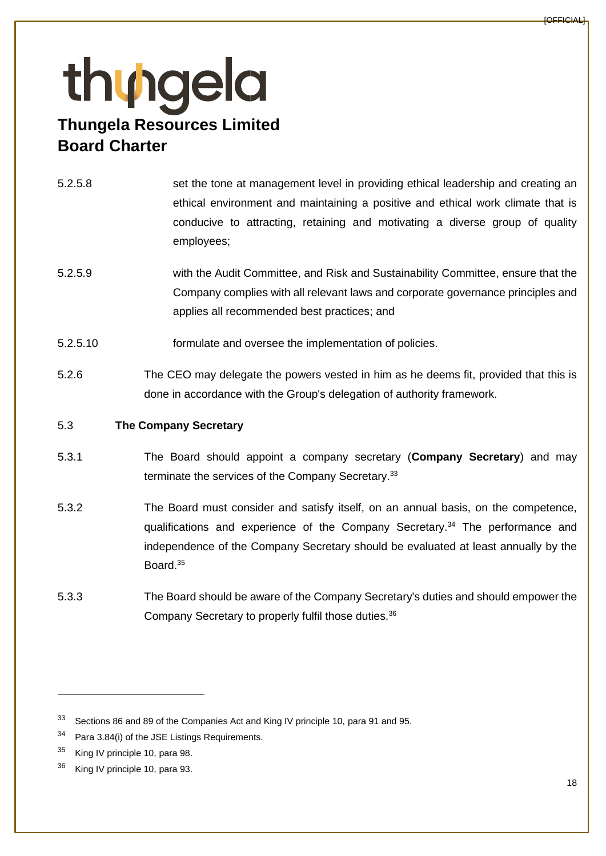- 5.2.5.8 set the tone at management level in providing ethical leadership and creating an ethical environment and maintaining a positive and ethical work climate that is conducive to attracting, retaining and motivating a diverse group of quality employees;
- 5.2.5.9 with the Audit Committee, and Risk and Sustainability Committee, ensure that the Company complies with all relevant laws and corporate governance principles and applies all recommended best practices; and
- 5.2.5.10 formulate and oversee the implementation of policies.
- 5.2.6 The CEO may delegate the powers vested in him as he deems fit, provided that this is done in accordance with the Group's delegation of authority framework.

#### 5.3 **The Company Secretary**

- 5.3.1 The Board should appoint a company secretary (**Company Secretary**) and may terminate the services of the Company Secretary.<sup>33</sup>
- 5.3.2 The Board must consider and satisfy itself, on an annual basis, on the competence, qualifications and experience of the Company Secretary.<sup>34</sup> The performance and independence of the Company Secretary should be evaluated at least annually by the Board.<sup>35</sup>
- 5.3.3 The Board should be aware of the Company Secretary's duties and should empower the Company Secretary to properly fulfil those duties.<sup>36</sup>

<sup>33</sup> Sections 86 and 89 of the Companies Act and King IV principle 10, para 91 and 95.

<sup>&</sup>lt;sup>34</sup> Para 3.84(i) of the JSE Listings Requirements.

<sup>&</sup>lt;sup>35</sup> King IV principle 10, para 98.

<sup>&</sup>lt;sup>36</sup> King IV principle 10, para 93.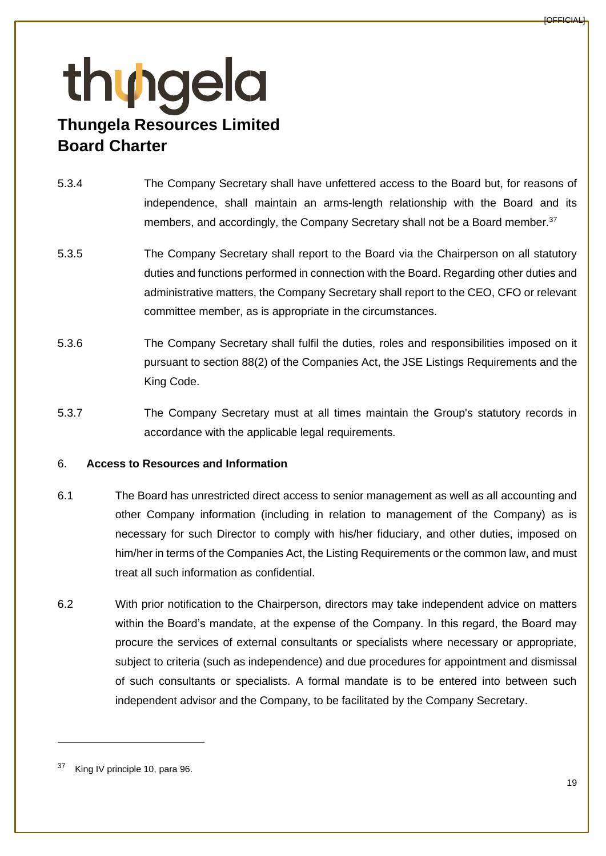- 5.3.4 The Company Secretary shall have unfettered access to the Board but, for reasons of independence, shall maintain an arms-length relationship with the Board and its members, and accordingly, the Company Secretary shall not be a Board member.<sup>37</sup>
- 5.3.5 The Company Secretary shall report to the Board via the Chairperson on all statutory duties and functions performed in connection with the Board. Regarding other duties and administrative matters, the Company Secretary shall report to the CEO, CFO or relevant committee member, as is appropriate in the circumstances.
- 5.3.6 The Company Secretary shall fulfil the duties, roles and responsibilities imposed on it pursuant to section 88(2) of the Companies Act, the JSE Listings Requirements and the King Code.
- 5.3.7 The Company Secretary must at all times maintain the Group's statutory records in accordance with the applicable legal requirements.

### 6. **Access to Resources and Information**

- 6.1 The Board has unrestricted direct access to senior management as well as all accounting and other Company information (including in relation to management of the Company) as is necessary for such Director to comply with his/her fiduciary, and other duties, imposed on him/her in terms of the Companies Act, the Listing Requirements or the common law, and must treat all such information as confidential.
- 6.2 With prior notification to the Chairperson, directors may take independent advice on matters within the Board's mandate, at the expense of the Company. In this regard, the Board may procure the services of external consultants or specialists where necessary or appropriate, subject to criteria (such as independence) and due procedures for appointment and dismissal of such consultants or specialists. A formal mandate is to be entered into between such independent advisor and the Company, to be facilitated by the Company Secretary.

<sup>&</sup>lt;sup>37</sup> King IV principle 10, para 96.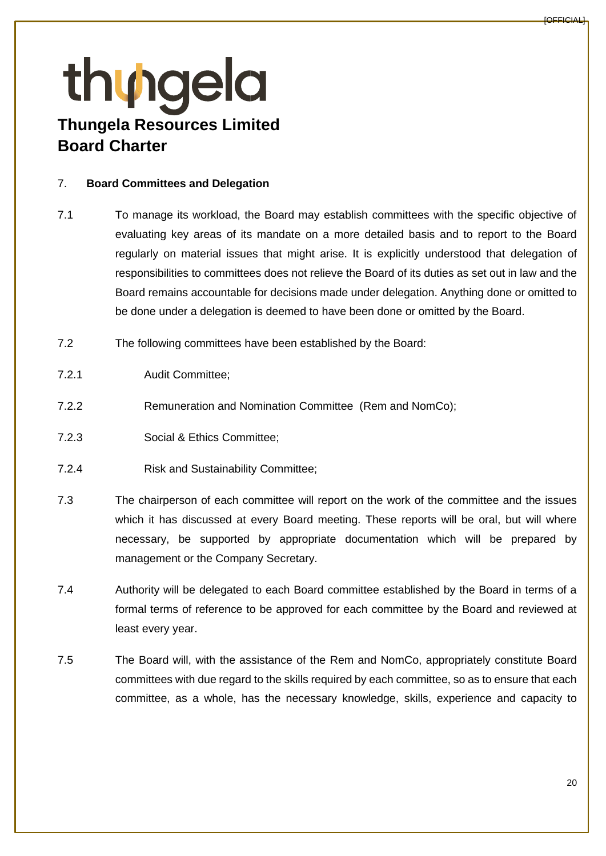#### <span id="page-19-0"></span>7. **Board Committees and Delegation**

- 7.1 To manage its workload, the Board may establish committees with the specific objective of evaluating key areas of its mandate on a more detailed basis and to report to the Board regularly on material issues that might arise. It is explicitly understood that delegation of responsibilities to committees does not relieve the Board of its duties as set out in law and the Board remains accountable for decisions made under delegation. Anything done or omitted to be done under a delegation is deemed to have been done or omitted by the Board.
- 7.2 The following committees have been established by the Board:
- 7.2.1 Audit Committee;
- 7.2.2 Remuneration and Nomination Committee (Rem and NomCo);
- 7.2.3 Social & Ethics Committee;
- 7.2.4 Risk and Sustainability Committee;
- 7.3 The chairperson of each committee will report on the work of the committee and the issues which it has discussed at every Board meeting. These reports will be oral, but will where necessary, be supported by appropriate documentation which will be prepared by management or the Company Secretary.
- 7.4 Authority will be delegated to each Board committee established by the Board in terms of a formal terms of reference to be approved for each committee by the Board and reviewed at least every year.
- 7.5 The Board will, with the assistance of the Rem and NomCo, appropriately constitute Board committees with due regard to the skills required by each committee, so as to ensure that each committee, as a whole, has the necessary knowledge, skills, experience and capacity to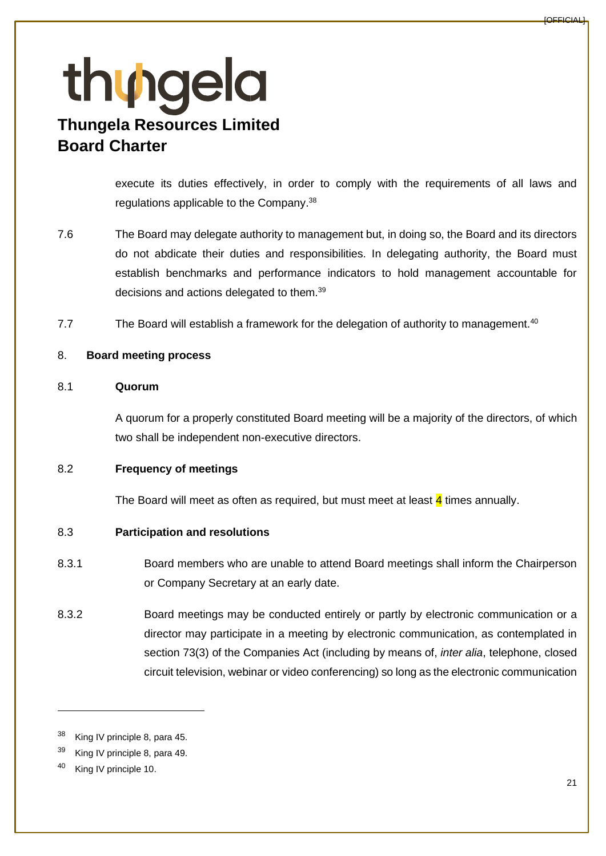execute its duties effectively, in order to comply with the requirements of all laws and regulations applicable to the Company.<sup>38</sup>

- 7.6 The Board may delegate authority to management but, in doing so, the Board and its directors do not abdicate their duties and responsibilities. In delegating authority, the Board must establish benchmarks and performance indicators to hold management accountable for decisions and actions delegated to them.<sup>39</sup>
- 7.7 The Board will establish a framework for the delegation of authority to management.<sup>40</sup>

### 8. **Board meeting process**

#### 8.1 **Quorum**

A quorum for a properly constituted Board meeting will be a majority of the directors, of which two shall be independent non-executive directors.

### 8.2 **Frequency of meetings**

The Board will meet as often as required, but must meet at least  $\frac{4}{3}$  times annually.

### 8.3 **Participation and resolutions**

- 8.3.1 Board members who are unable to attend Board meetings shall inform the Chairperson or Company Secretary at an early date.
- 8.3.2 Board meetings may be conducted entirely or partly by electronic communication or a director may participate in a meeting by electronic communication, as contemplated in section 73(3) of the Companies Act (including by means of, *inter alia*, telephone, closed circuit television, webinar or video conferencing) so long as the electronic communication

<sup>&</sup>lt;sup>38</sup> King IV principle 8, para 45.

<sup>39</sup> King IV principle 8, para 49.

<sup>40</sup> King IV principle 10.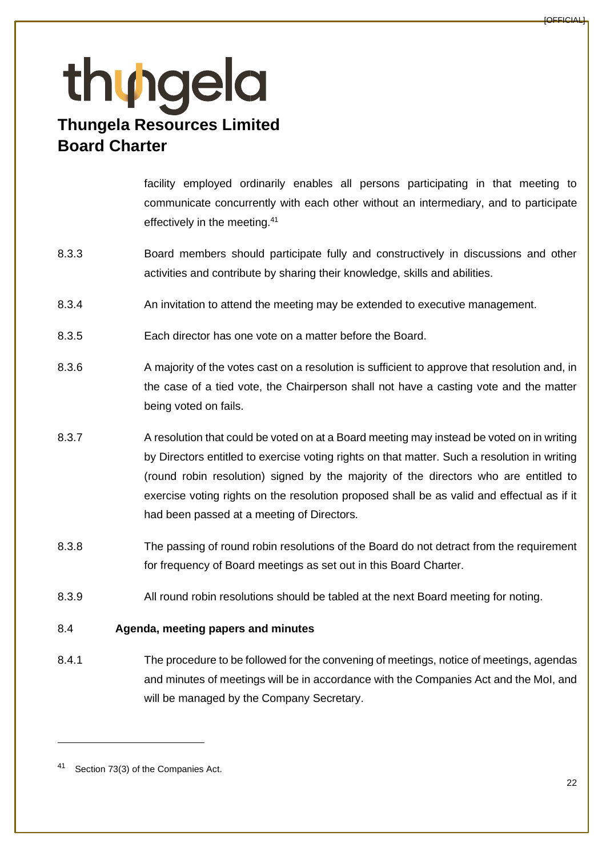facility employed ordinarily enables all persons participating in that meeting to communicate concurrently with each other without an intermediary, and to participate effectively in the meeting.<sup>41</sup>

- 8.3.3 Board members should participate fully and constructively in discussions and other activities and contribute by sharing their knowledge, skills and abilities.
- 8.3.4 An invitation to attend the meeting may be extended to executive management.
- 8.3.5 Each director has one vote on a matter before the Board.
- 8.3.6 A majority of the votes cast on a resolution is sufficient to approve that resolution and, in the case of a tied vote, the Chairperson shall not have a casting vote and the matter being voted on fails.
- 8.3.7 A resolution that could be voted on at a Board meeting may instead be voted on in writing by Directors entitled to exercise voting rights on that matter. Such a resolution in writing (round robin resolution) signed by the majority of the directors who are entitled to exercise voting rights on the resolution proposed shall be as valid and effectual as if it had been passed at a meeting of Directors.
- 8.3.8 The passing of round robin resolutions of the Board do not detract from the requirement for frequency of Board meetings as set out in this Board Charter.
- 8.3.9 All round robin resolutions should be tabled at the next Board meeting for noting.

### 8.4 **Agenda, meeting papers and minutes**

8.4.1 The procedure to be followed for the convening of meetings, notice of meetings, agendas and minutes of meetings will be in accordance with the Companies Act and the MoI, and will be managed by the Company Secretary.

<sup>41</sup> Section 73(3) of the Companies Act.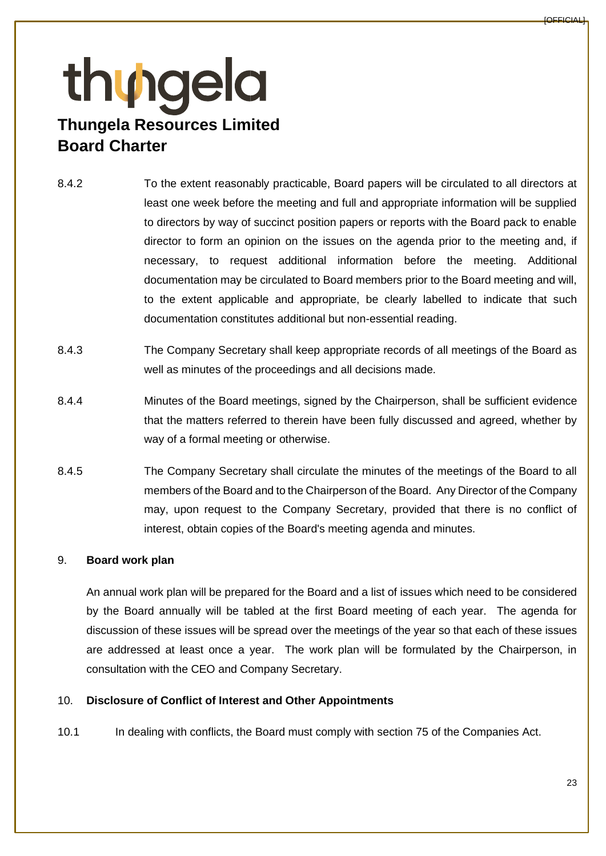- 8.4.2 To the extent reasonably practicable, Board papers will be circulated to all directors at least one week before the meeting and full and appropriate information will be supplied to directors by way of succinct position papers or reports with the Board pack to enable director to form an opinion on the issues on the agenda prior to the meeting and, if necessary, to request additional information before the meeting. Additional documentation may be circulated to Board members prior to the Board meeting and will, to the extent applicable and appropriate, be clearly labelled to indicate that such documentation constitutes additional but non-essential reading.
- 8.4.3 The Company Secretary shall keep appropriate records of all meetings of the Board as well as minutes of the proceedings and all decisions made.
- 8.4.4 Minutes of the Board meetings, signed by the Chairperson, shall be sufficient evidence that the matters referred to therein have been fully discussed and agreed, whether by way of a formal meeting or otherwise.
- 8.4.5 The Company Secretary shall circulate the minutes of the meetings of the Board to all members of the Board and to the Chairperson of the Board. Any Director of the Company may, upon request to the Company Secretary, provided that there is no conflict of interest, obtain copies of the Board's meeting agenda and minutes.

### 9. **Board work plan**

An annual work plan will be prepared for the Board and a list of issues which need to be considered by the Board annually will be tabled at the first Board meeting of each year. The agenda for discussion of these issues will be spread over the meetings of the year so that each of these issues are addressed at least once a year. The work plan will be formulated by the Chairperson, in consultation with the CEO and Company Secretary.

### 10. **Disclosure of Conflict of Interest and Other Appointments**

10.1 In dealing with conflicts, the Board must comply with section 75 of the Companies Act.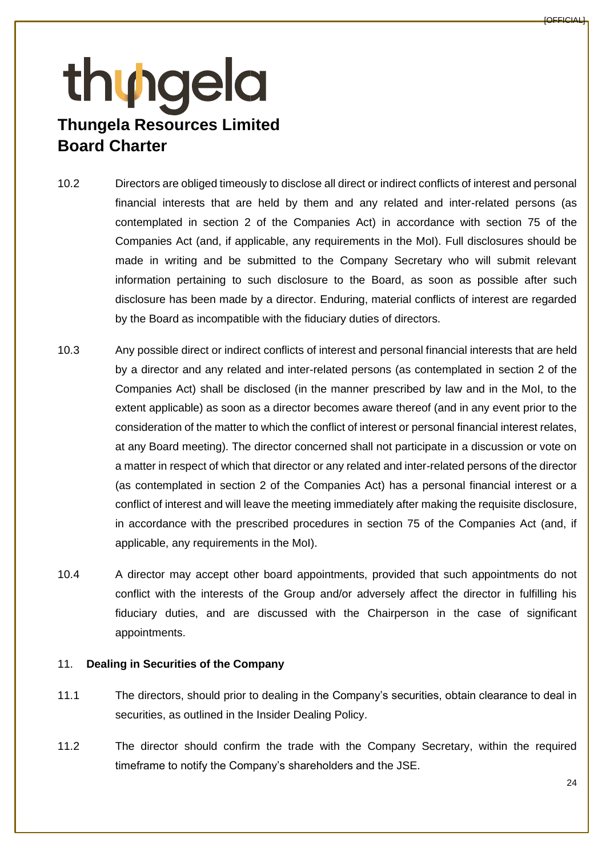- 10.2 Directors are obliged timeously to disclose all direct or indirect conflicts of interest and personal financial interests that are held by them and any related and inter-related persons (as contemplated in section 2 of the Companies Act) in accordance with section 75 of the Companies Act (and, if applicable, any requirements in the MoI). Full disclosures should be made in writing and be submitted to the Company Secretary who will submit relevant information pertaining to such disclosure to the Board, as soon as possible after such disclosure has been made by a director. Enduring, material conflicts of interest are regarded by the Board as incompatible with the fiduciary duties of directors.
- 10.3 Any possible direct or indirect conflicts of interest and personal financial interests that are held by a director and any related and inter-related persons (as contemplated in section 2 of the Companies Act) shall be disclosed (in the manner prescribed by law and in the MoI, to the extent applicable) as soon as a director becomes aware thereof (and in any event prior to the consideration of the matter to which the conflict of interest or personal financial interest relates, at any Board meeting). The director concerned shall not participate in a discussion or vote on a matter in respect of which that director or any related and inter-related persons of the director (as contemplated in section 2 of the Companies Act) has a personal financial interest or a conflict of interest and will leave the meeting immediately after making the requisite disclosure, in accordance with the prescribed procedures in section 75 of the Companies Act (and, if applicable, any requirements in the MoI).
- 10.4 A director may accept other board appointments, provided that such appointments do not conflict with the interests of the Group and/or adversely affect the director in fulfilling his fiduciary duties, and are discussed with the Chairperson in the case of significant appointments.

#### 11. **Dealing in Securities of the Company**

- 11.1 The directors, should prior to dealing in the Company's securities, obtain clearance to deal in securities, as outlined in the Insider Dealing Policy.
- 11.2 The director should confirm the trade with the Company Secretary, within the required timeframe to notify the Company's shareholders and the JSE.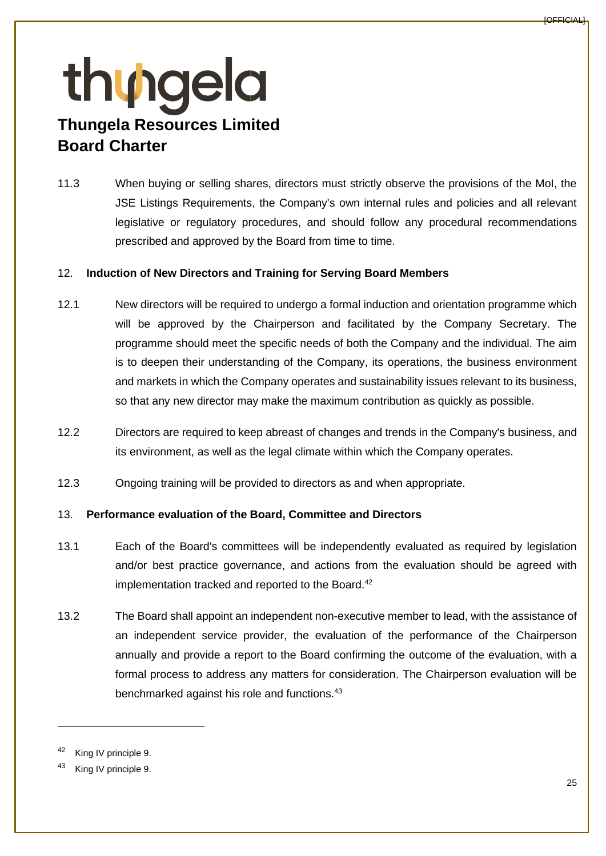11.3 When buying or selling shares, directors must strictly observe the provisions of the MoI, the JSE Listings Requirements, the Company's own internal rules and policies and all relevant legislative or regulatory procedures, and should follow any procedural recommendations prescribed and approved by the Board from time to time.

### 12. **Induction of New Directors and Training for Serving Board Members**

- 12.1 New directors will be required to undergo a formal induction and orientation programme which will be approved by the Chairperson and facilitated by the Company Secretary. The programme should meet the specific needs of both the Company and the individual. The aim is to deepen their understanding of the Company, its operations, the business environment and markets in which the Company operates and sustainability issues relevant to its business, so that any new director may make the maximum contribution as quickly as possible.
- 12.2 Directors are required to keep abreast of changes and trends in the Company's business, and its environment, as well as the legal climate within which the Company operates.
- 12.3 Ongoing training will be provided to directors as and when appropriate.

#### 13. **Performance evaluation of the Board, Committee and Directors**

- 13.1 Each of the Board's committees will be independently evaluated as required by legislation and/or best practice governance, and actions from the evaluation should be agreed with implementation tracked and reported to the Board.<sup>42</sup>
- 13.2 The Board shall appoint an independent non-executive member to lead, with the assistance of an independent service provider, the evaluation of the performance of the Chairperson annually and provide a report to the Board confirming the outcome of the evaluation, with a formal process to address any matters for consideration. The Chairperson evaluation will be benchmarked against his role and functions.<sup>43</sup>

King IV principle 9.

King IV principle 9.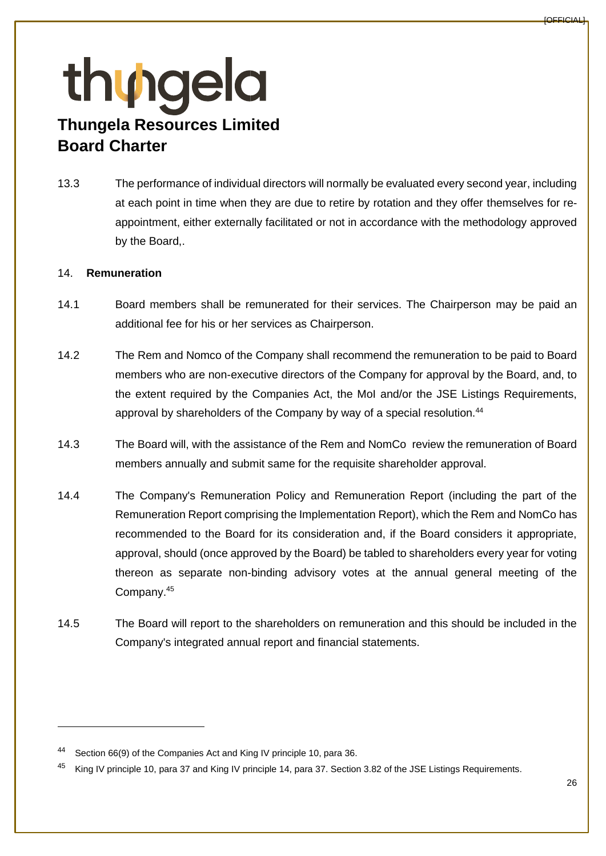13.3 The performance of individual directors will normally be evaluated every second year, including at each point in time when they are due to retire by rotation and they offer themselves for reappointment, either externally facilitated or not in accordance with the methodology approved by the Board,.

### 14. **Remuneration**

- 14.1 Board members shall be remunerated for their services. The Chairperson may be paid an additional fee for his or her services as Chairperson.
- 14.2 The Rem and Nomco of the Company shall recommend the remuneration to be paid to Board members who are non-executive directors of the Company for approval by the Board, and, to the extent required by the Companies Act, the MoI and/or the JSE Listings Requirements, approval by shareholders of the Company by way of a special resolution.<sup>44</sup>
- 14.3 The Board will, with the assistance of the Rem and NomCo review the remuneration of Board members annually and submit same for the requisite shareholder approval.
- 14.4 The Company's Remuneration Policy and Remuneration Report (including the part of the Remuneration Report comprising the Implementation Report), which the Rem and NomCo has recommended to the Board for its consideration and, if the Board considers it appropriate, approval, should (once approved by the Board) be tabled to shareholders every year for voting thereon as separate non-binding advisory votes at the annual general meeting of the Company.<sup>45</sup>
- 14.5 The Board will report to the shareholders on remuneration and this should be included in the Company's integrated annual report and financial statements.

Section 66(9) of the Companies Act and King IV principle 10, para 36.

<sup>&</sup>lt;sup>45</sup> King IV principle 10, para 37 and King IV principle 14, para 37. Section 3.82 of the JSE Listings Requirements.